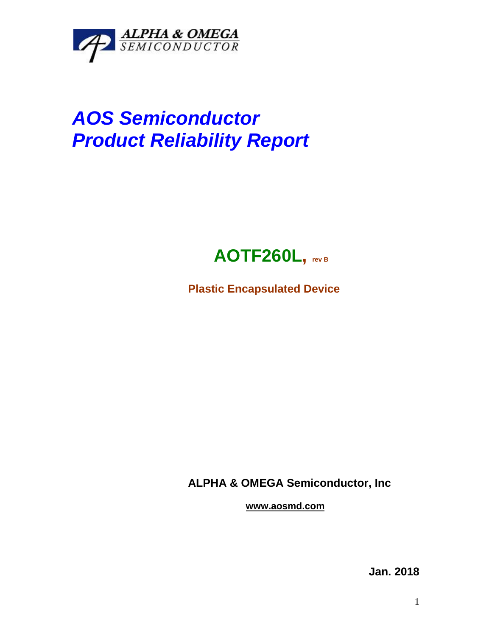

## *AOS Semiconductor Product Reliability Report*



**Plastic Encapsulated Device**

**ALPHA & OMEGA Semiconductor, Inc**

**www.aosmd.com**

**Jan. 2018**